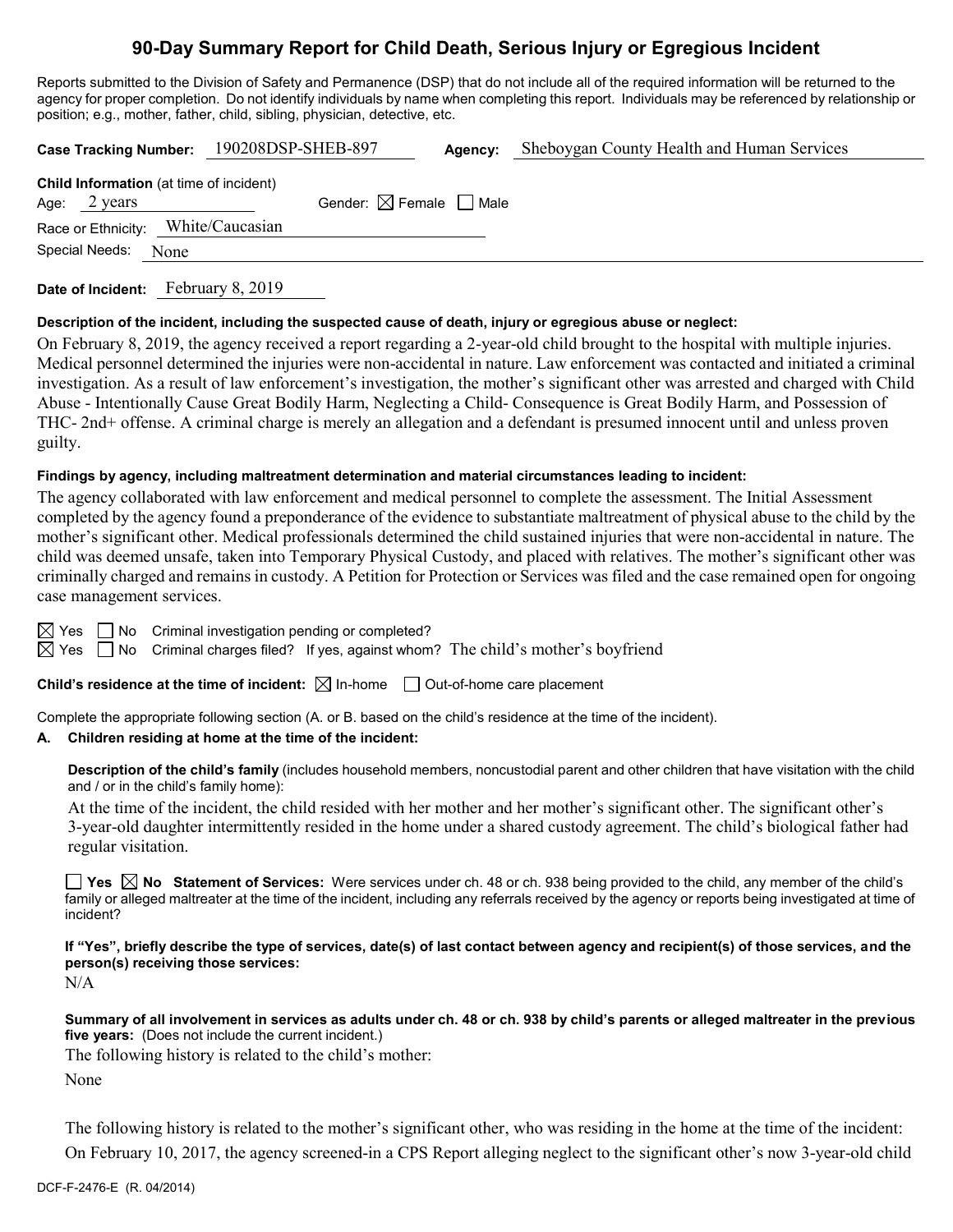# **90-Day Summary Report for Child Death, Serious Injury or Egregious Incident**

Reports submitted to the Division of Safety and Permanence (DSP) that do not include all of the required information will be returned to the agency for proper completion. Do not identify individuals by name when completing this report. Individuals may be referenced by relationship or position; e.g., mother, father, child, sibling, physician, detective, etc.

|                                                                          | Case Tracking Number: 190208DSP-SHEB-897 | Agency: | Sheboygan County Health and Human Services |
|--------------------------------------------------------------------------|------------------------------------------|---------|--------------------------------------------|
| <b>Child Information</b> (at time of incident)<br>Age: $2 \text{ years}$ | Gender: $\boxtimes$ Female $\Box$ Male   |         |                                            |
| Race or Ethnicity: White/Caucasian                                       |                                          |         |                                            |
| Special Needs:<br>None                                                   |                                          |         |                                            |
|                                                                          |                                          |         |                                            |

**Date of Incident:** February 8, 2019

### **Description of the incident, including the suspected cause of death, injury or egregious abuse or neglect:**

On February 8, 2019, the agency received a report regarding a 2-year-old child brought to the hospital with multiple injuries. Medical personnel determined the injuries were non-accidental in nature. Law enforcement was contacted and initiated a criminal investigation. As a result of law enforcement's investigation, the mother's significant other was arrested and charged with Child Abuse - Intentionally Cause Great Bodily Harm, Neglecting a Child- Consequence is Great Bodily Harm, and Possession of THC- 2nd+ offense. A criminal charge is merely an allegation and a defendant is presumed innocent until and unless proven guilty.

### **Findings by agency, including maltreatment determination and material circumstances leading to incident:**

The agency collaborated with law enforcement and medical personnel to complete the assessment. The Initial Assessment completed by the agency found a preponderance of the evidence to substantiate maltreatment of physical abuse to the child by the mother's significant other. Medical professionals determined the child sustained injuries that were non-accidental in nature. The child was deemed unsafe, taken into Temporary Physical Custody, and placed with relatives. The mother's significant other was criminally charged and remains in custody. A Petition for Protection or Services was filed and the case remained open for ongoing case management services.

 $\boxtimes$  Yes  $\Box$  No Criminal investigation pending or completed?

 $\boxtimes$  Yes  $\Box$  No Criminal charges filed? If yes, against whom? The child's mother's boyfriend

**Child's residence at the time of incident:**  $\boxtimes$  In-home  $\Box$  Out-of-home care placement

Complete the appropriate following section (A. or B. based on the child's residence at the time of the incident).

# **A. Children residing at home at the time of the incident:**

**Description of the child's family** (includes household members, noncustodial parent and other children that have visitation with the child and / or in the child's family home):

At the time of the incident, the child resided with her mother and her mother's significant other. The significant other's 3-year-old daughter intermittently resided in the home under a shared custody agreement. The child's biological father had regular visitation.

■ Yes △ No Statement of Services: Were services under ch. 48 or ch. 938 being provided to the child, any member of the child's family or alleged maltreater at the time of the incident, including any referrals received by the agency or reports being investigated at time of incident?

**If "Yes", briefly describe the type of services, date(s) of last contact between agency and recipient(s) of those services, and the person(s) receiving those services:**

N/A

**Summary of all involvement in services as adults under ch. 48 or ch. 938 by child's parents or alleged maltreater in the previous five years:** (Does not include the current incident.)

The following history is related to the child's mother:

None

The following history is related to the mother's significant other, who was residing in the home at the time of the incident: On February 10, 2017, the agency screened-in a CPS Report alleging neglect to the significant other's now 3-year-old child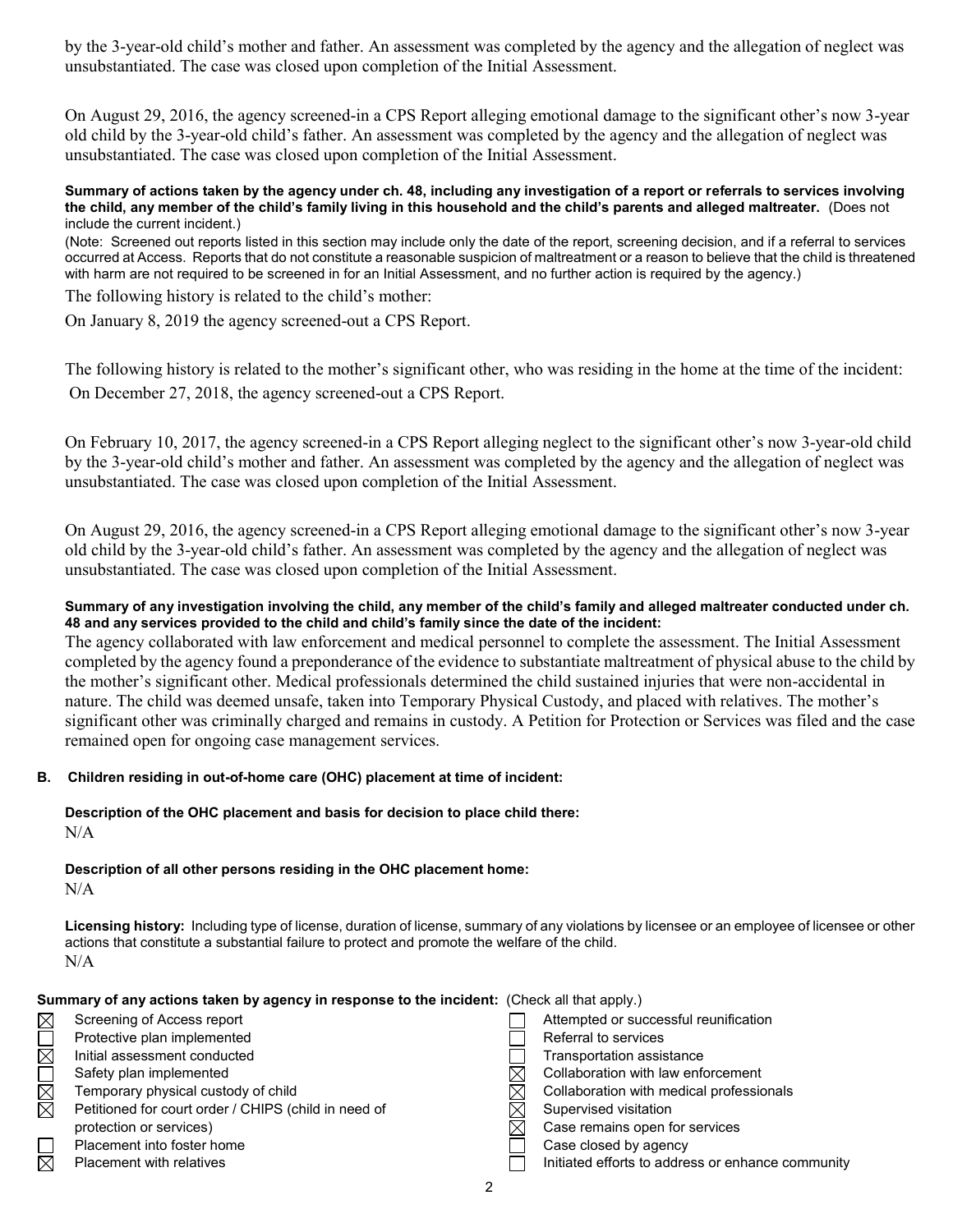by the 3-year-old child's mother and father. An assessment was completed by the agency and the allegation of neglect was unsubstantiated. The case was closed upon completion of the Initial Assessment.

On August 29, 2016, the agency screened-in a CPS Report alleging emotional damage to the significant other's now 3-year old child by the 3-year-old child's father. An assessment was completed by the agency and the allegation of neglect was unsubstantiated. The case was closed upon completion of the Initial Assessment.

#### **Summary of actions taken by the agency under ch. 48, including any investigation of a report or referrals to services involving the child, any member of the child's family living in this household and the child's parents and alleged maltreater.** (Does not include the current incident.)

(Note: Screened out reports listed in this section may include only the date of the report, screening decision, and if a referral to services occurred at Access. Reports that do not constitute a reasonable suspicion of maltreatment or a reason to believe that the child is threatened with harm are not required to be screened in for an Initial Assessment, and no further action is required by the agency.)

The following history is related to the child's mother:

On January 8, 2019 the agency screened-out a CPS Report.

The following history is related to the mother's significant other, who was residing in the home at the time of the incident: On December 27, 2018, the agency screened-out a CPS Report.

On February 10, 2017, the agency screened-in a CPS Report alleging neglect to the significant other's now 3-year-old child by the 3-year-old child's mother and father. An assessment was completed by the agency and the allegation of neglect was unsubstantiated. The case was closed upon completion of the Initial Assessment.

On August 29, 2016, the agency screened-in a CPS Report alleging emotional damage to the significant other's now 3-year old child by the 3-year-old child's father. An assessment was completed by the agency and the allegation of neglect was unsubstantiated. The case was closed upon completion of the Initial Assessment.

### **Summary of any investigation involving the child, any member of the child's family and alleged maltreater conducted under ch. 48 and any services provided to the child and child's family since the date of the incident:**

The agency collaborated with law enforcement and medical personnel to complete the assessment. The Initial Assessment completed by the agency found a preponderance of the evidence to substantiate maltreatment of physical abuse to the child by the mother's significant other. Medical professionals determined the child sustained injuries that were non-accidental in nature. The child was deemed unsafe, taken into Temporary Physical Custody, and placed with relatives. The mother's significant other was criminally charged and remains in custody. A Petition for Protection or Services was filed and the case remained open for ongoing case management services.

# **B. Children residing in out-of-home care (OHC) placement at time of incident:**

#### **Description of the OHC placement and basis for decision to place child there:** N/A

**Description of all other persons residing in the OHC placement home:**

N/A

**Licensing history:** Including type of license, duration of license, summary of any violations by licensee or an employee of licensee or other actions that constitute a substantial failure to protect and promote the welfare of the child. N/A

| Summary of any actions taken by agency in response to the incident: (Check all that apply.) |  |
|---------------------------------------------------------------------------------------------|--|
|---------------------------------------------------------------------------------------------|--|

| $\boxtimes$ | Screening of Access report                           |  | Attempted or successful reunification             |
|-------------|------------------------------------------------------|--|---------------------------------------------------|
|             | Protective plan implemented                          |  | Referral to services                              |
| $\boxtimes$ | Initial assessment conducted                         |  | Transportation assistance                         |
|             | Safety plan implemented                              |  | Collaboration with law enforcement                |
| $\boxtimes$ | Temporary physical custody of child                  |  | Collaboration with medical professionals          |
| $\boxtimes$ | Petitioned for court order / CHIPS (child in need of |  | Supervised visitation                             |
|             | protection or services)                              |  | Case remains open for services                    |
|             | Placement into foster home                           |  | Case closed by agency                             |
| $\boxtimes$ | <b>Placement with relatives</b>                      |  | Initiated efforts to address or enhance community |
|             |                                                      |  |                                                   |